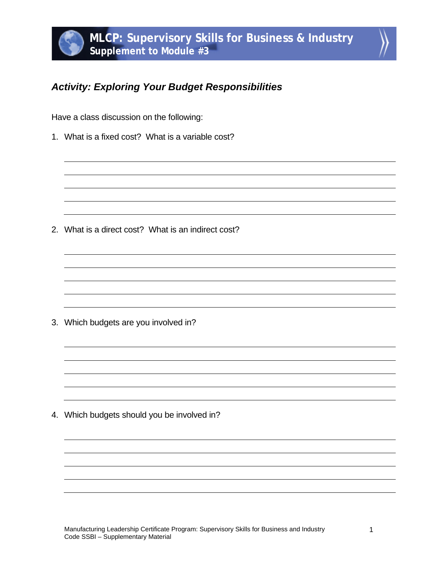## *Activity: Exploring Your Budget Responsibilities*

Have a class discussion on the following:

1. What is a fixed cost? What is a variable cost?

2. What is a direct cost? What is an indirect cost?

3. Which budgets are you involved in?

4. Which budgets should you be involved in?